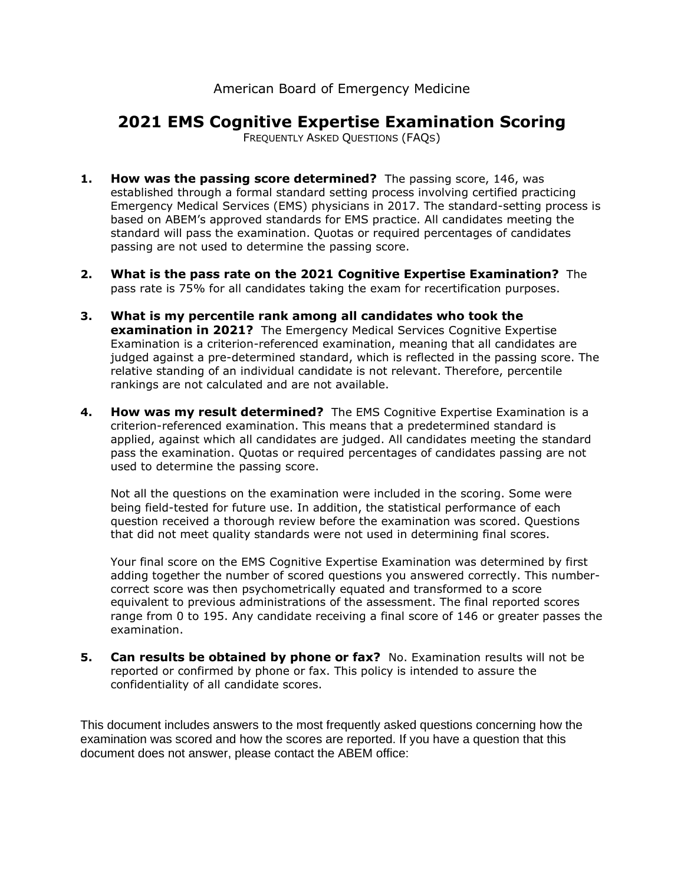## American Board of Emergency Medicine

## **2021 EMS Cognitive Expertise Examination Scoring**

FREQUENTLY ASKED QUESTIONS (FAQS)

- **1. How was the passing score determined?** The passing score, 146, was established through a formal standard setting process involving certified practicing Emergency Medical Services (EMS) physicians in 2017. The standard-setting process is based on ABEM's approved standards for EMS practice. All candidates meeting the standard will pass the examination. Quotas or required percentages of candidates passing are not used to determine the passing score.
- **2. What is the pass rate on the 2021 Cognitive Expertise Examination?** The pass rate is 75% for all candidates taking the exam for recertification purposes.
- **3. What is my percentile rank among all candidates who took the examination in 2021?** The Emergency Medical Services Cognitive Expertise Examination is a criterion-referenced examination, meaning that all candidates are judged against a pre-determined standard, which is reflected in the passing score. The relative standing of an individual candidate is not relevant. Therefore, percentile rankings are not calculated and are not available.
- **4. How was my result determined?** The EMS Cognitive Expertise Examination is a criterion-referenced examination. This means that a predetermined standard is applied, against which all candidates are judged. All candidates meeting the standard pass the examination. Quotas or required percentages of candidates passing are not used to determine the passing score.

Not all the questions on the examination were included in the scoring. Some were being field-tested for future use. In addition, the statistical performance of each question received a thorough review before the examination was scored. Questions that did not meet quality standards were not used in determining final scores.

Your final score on the EMS Cognitive Expertise Examination was determined by first adding together the number of scored questions you answered correctly. This numbercorrect score was then psychometrically equated and transformed to a score equivalent to previous administrations of the assessment. The final reported scores range from 0 to 195. Any candidate receiving a final score of 146 or greater passes the examination.

**5. Can results be obtained by phone or fax?** No. Examination results will not be reported or confirmed by phone or fax. This policy is intended to assure the confidentiality of all candidate scores.

This document includes answers to the most frequently asked questions concerning how the examination was scored and how the scores are reported. If you have a question that this document does not answer, please contact the ABEM office: